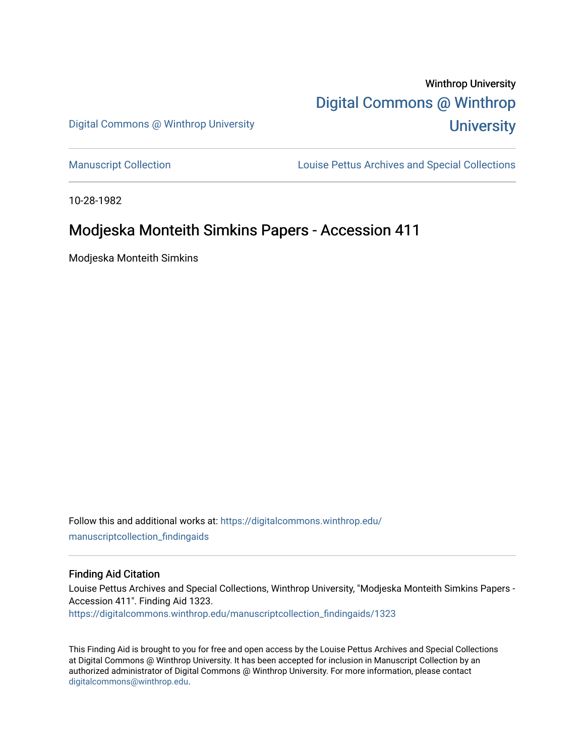# Winthrop University [Digital Commons @ Winthrop](https://digitalcommons.winthrop.edu/)  **University**

Digital Commons @ Winthrop University

[Manuscript Collection](https://digitalcommons.winthrop.edu/manuscriptcollection_findingaids) **Louise Pettus Archives and Special Collections** 

10-28-1982

## Modjeska Monteith Simkins Papers - Accession 411

Modjeska Monteith Simkins

Follow this and additional works at: [https://digitalcommons.winthrop.edu/](https://digitalcommons.winthrop.edu/manuscriptcollection_findingaids?utm_source=digitalcommons.winthrop.edu%2Fmanuscriptcollection_findingaids%2F1323&utm_medium=PDF&utm_campaign=PDFCoverPages) [manuscriptcollection\\_findingaids](https://digitalcommons.winthrop.edu/manuscriptcollection_findingaids?utm_source=digitalcommons.winthrop.edu%2Fmanuscriptcollection_findingaids%2F1323&utm_medium=PDF&utm_campaign=PDFCoverPages) 

#### Finding Aid Citation

Louise Pettus Archives and Special Collections, Winthrop University, "Modjeska Monteith Simkins Papers - Accession 411". Finding Aid 1323. [https://digitalcommons.winthrop.edu/manuscriptcollection\\_findingaids/1323](https://digitalcommons.winthrop.edu/manuscriptcollection_findingaids/1323?utm_source=digitalcommons.winthrop.edu%2Fmanuscriptcollection_findingaids%2F1323&utm_medium=PDF&utm_campaign=PDFCoverPages) 

This Finding Aid is brought to you for free and open access by the Louise Pettus Archives and Special Collections at Digital Commons @ Winthrop University. It has been accepted for inclusion in Manuscript Collection by an authorized administrator of Digital Commons @ Winthrop University. For more information, please contact [digitalcommons@winthrop.edu](mailto:digitalcommons@winthrop.edu).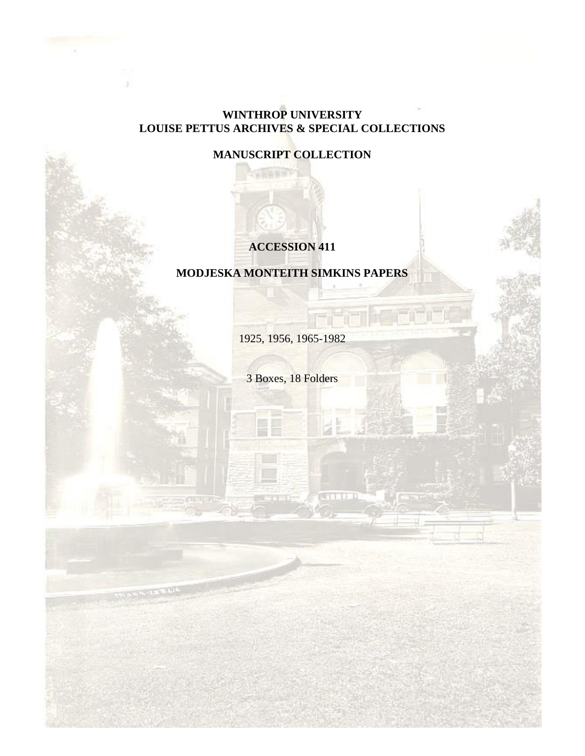## **WINTHROP UNIVERSITY LOUISE PETTUS ARCHIVES & SPECIAL COLLECTIONS**

**MANUSCRIPT COLLECTION**

## **ACCESSION 411**

## **MODJESKA MONTEITH SIMKINS PAPERS**

1925, 1956, 1965-1982

3 Boxes, 18 Folders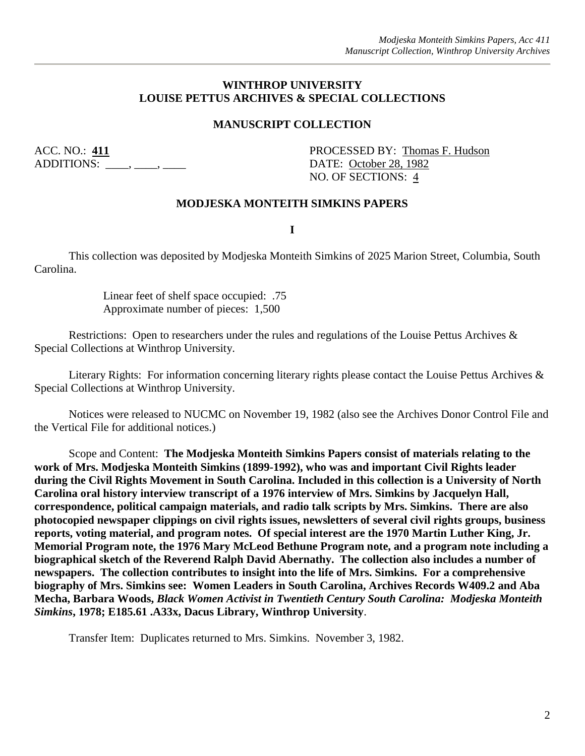#### **WINTHROP UNIVERSITY LOUISE PETTUS ARCHIVES & SPECIAL COLLECTIONS**

#### **MANUSCRIPT COLLECTION**

ADDITIONS:  $\qquad \qquad , \qquad$ 

ACC. NO.: 411 PROCESSED BY: Thomas F. Hudson NO. OF SECTIONS: 4

#### **MODJESKA MONTEITH SIMKINS PAPERS**

**I**

This collection was deposited by Modjeska Monteith Simkins of 2025 Marion Street, Columbia, South Carolina.

> Linear feet of shelf space occupied: .75 Approximate number of pieces: 1,500

Restrictions: Open to researchers under the rules and regulations of the Louise Pettus Archives & Special Collections at Winthrop University.

Literary Rights: For information concerning literary rights please contact the Louise Pettus Archives & Special Collections at Winthrop University.

Notices were released to NUCMC on November 19, 1982 (also see the Archives Donor Control File and the Vertical File for additional notices.)

Scope and Content: **The Modjeska Monteith Simkins Papers consist of materials relating to the work of Mrs. Modjeska Monteith Simkins (1899-1992), who was and important Civil Rights leader during the Civil Rights Movement in South Carolina. Included in this collection is a University of North Carolina oral history interview transcript of a 1976 interview of Mrs. Simkins by Jacquelyn Hall, correspondence, political campaign materials, and radio talk scripts by Mrs. Simkins. There are also photocopied newspaper clippings on civil rights issues, newsletters of several civil rights groups, business reports, voting material, and program notes. Of special interest are the 1970 Martin Luther King, Jr. Memorial Program note, the 1976 Mary McLeod Bethune Program note, and a program note including a biographical sketch of the Reverend Ralph David Abernathy. The collection also includes a number of newspapers. The collection contributes to insight into the life of Mrs. Simkins. For a comprehensive biography of Mrs. Simkins see: Women Leaders in South Carolina, Archives Records W409.2 and Aba Mecha, Barbara Woods,** *Black Women Activist in Twentieth Century South Carolina: Modjeska Monteith Simkins***, 1978; E185.61 .A33x, Dacus Library, Winthrop University**.

Transfer Item: Duplicates returned to Mrs. Simkins. November 3, 1982.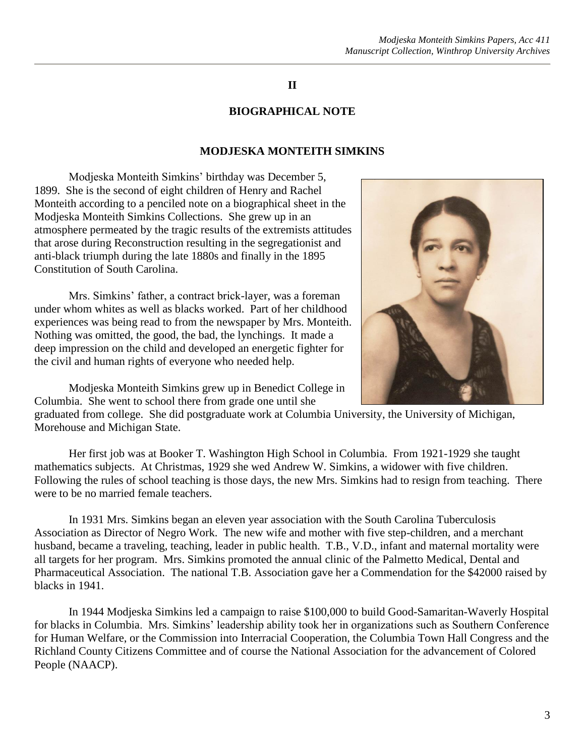## **II**

## **BIOGRAPHICAL NOTE**

### **MODJESKA MONTEITH SIMKINS**

Modjeska Monteith Simkins' birthday was December 5, 1899. She is the second of eight children of Henry and Rachel Monteith according to a penciled note on a biographical sheet in the Modjeska Monteith Simkins Collections. She grew up in an atmosphere permeated by the tragic results of the extremists attitudes that arose during Reconstruction resulting in the segregationist and anti-black triumph during the late 1880s and finally in the 1895 Constitution of South Carolina.

Mrs. Simkins' father, a contract brick-layer, was a foreman under whom whites as well as blacks worked. Part of her childhood experiences was being read to from the newspaper by Mrs. Monteith. Nothing was omitted, the good, the bad, the lynchings. It made a deep impression on the child and developed an energetic fighter for the civil and human rights of everyone who needed help.



Modjeska Monteith Simkins grew up in Benedict College in Columbia. She went to school there from grade one until she

graduated from college. She did postgraduate work at Columbia University, the University of Michigan, Morehouse and Michigan State.

Her first job was at Booker T. Washington High School in Columbia. From 1921-1929 she taught mathematics subjects. At Christmas, 1929 she wed Andrew W. Simkins, a widower with five children. Following the rules of school teaching is those days, the new Mrs. Simkins had to resign from teaching. There were to be no married female teachers.

In 1931 Mrs. Simkins began an eleven year association with the South Carolina Tuberculosis Association as Director of Negro Work. The new wife and mother with five step-children, and a merchant husband, became a traveling, teaching, leader in public health. T.B., V.D., infant and maternal mortality were all targets for her program. Mrs. Simkins promoted the annual clinic of the Palmetto Medical, Dental and Pharmaceutical Association. The national T.B. Association gave her a Commendation for the \$42000 raised by blacks in 1941.

In 1944 Modjeska Simkins led a campaign to raise \$100,000 to build Good-Samaritan-Waverly Hospital for blacks in Columbia. Mrs. Simkins' leadership ability took her in organizations such as Southern Conference for Human Welfare, or the Commission into Interracial Cooperation, the Columbia Town Hall Congress and the Richland County Citizens Committee and of course the National Association for the advancement of Colored People (NAACP).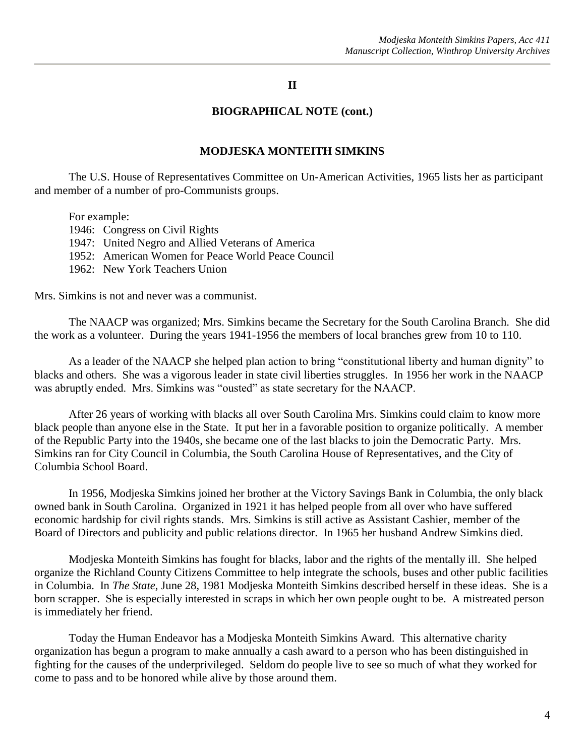#### **II**

#### **BIOGRAPHICAL NOTE (cont.)**

#### **MODJESKA MONTEITH SIMKINS**

The U.S. House of Representatives Committee on Un-American Activities, 1965 lists her as participant and member of a number of pro-Communists groups.

For example:

1946: Congress on Civil Rights

1947: United Negro and Allied Veterans of America

1952: American Women for Peace World Peace Council

1962: New York Teachers Union

Mrs. Simkins is not and never was a communist.

The NAACP was organized; Mrs. Simkins became the Secretary for the South Carolina Branch. She did the work as a volunteer. During the years 1941-1956 the members of local branches grew from 10 to 110.

As a leader of the NAACP she helped plan action to bring "constitutional liberty and human dignity" to blacks and others. She was a vigorous leader in state civil liberties struggles. In 1956 her work in the NAACP was abruptly ended. Mrs. Simkins was "ousted" as state secretary for the NAACP.

After 26 years of working with blacks all over South Carolina Mrs. Simkins could claim to know more black people than anyone else in the State. It put her in a favorable position to organize politically. A member of the Republic Party into the 1940s, she became one of the last blacks to join the Democratic Party. Mrs. Simkins ran for City Council in Columbia, the South Carolina House of Representatives, and the City of Columbia School Board.

In 1956, Modjeska Simkins joined her brother at the Victory Savings Bank in Columbia, the only black owned bank in South Carolina. Organized in 1921 it has helped people from all over who have suffered economic hardship for civil rights stands. Mrs. Simkins is still active as Assistant Cashier, member of the Board of Directors and publicity and public relations director. In 1965 her husband Andrew Simkins died.

Modjeska Monteith Simkins has fought for blacks, labor and the rights of the mentally ill. She helped organize the Richland County Citizens Committee to help integrate the schools, buses and other public facilities in Columbia. In *The State*, June 28, 1981 Modjeska Monteith Simkins described herself in these ideas. She is a born scrapper. She is especially interested in scraps in which her own people ought to be. A mistreated person is immediately her friend.

Today the Human Endeavor has a Modjeska Monteith Simkins Award. This alternative charity organization has begun a program to make annually a cash award to a person who has been distinguished in fighting for the causes of the underprivileged. Seldom do people live to see so much of what they worked for come to pass and to be honored while alive by those around them.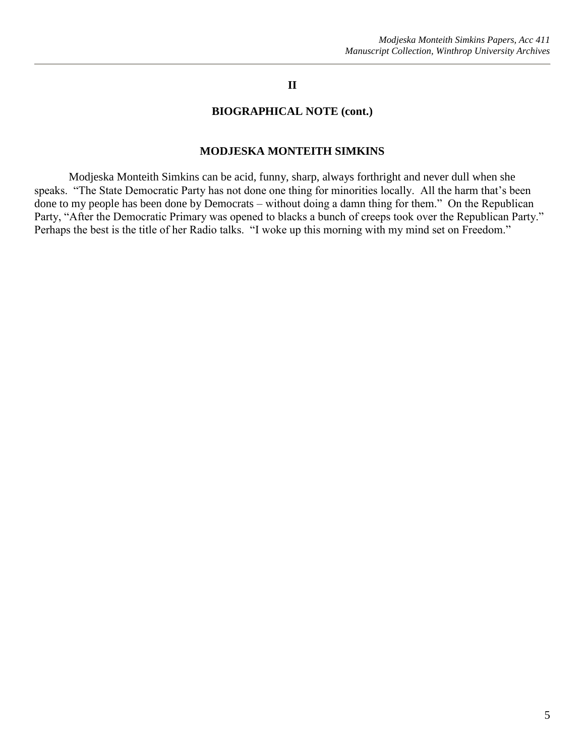#### **II**

#### **BIOGRAPHICAL NOTE (cont.)**

#### **MODJESKA MONTEITH SIMKINS**

Modjeska Monteith Simkins can be acid, funny, sharp, always forthright and never dull when she speaks. "The State Democratic Party has not done one thing for minorities locally. All the harm that's been done to my people has been done by Democrats – without doing a damn thing for them." On the Republican Party, "After the Democratic Primary was opened to blacks a bunch of creeps took over the Republican Party." Perhaps the best is the title of her Radio talks. "I woke up this morning with my mind set on Freedom."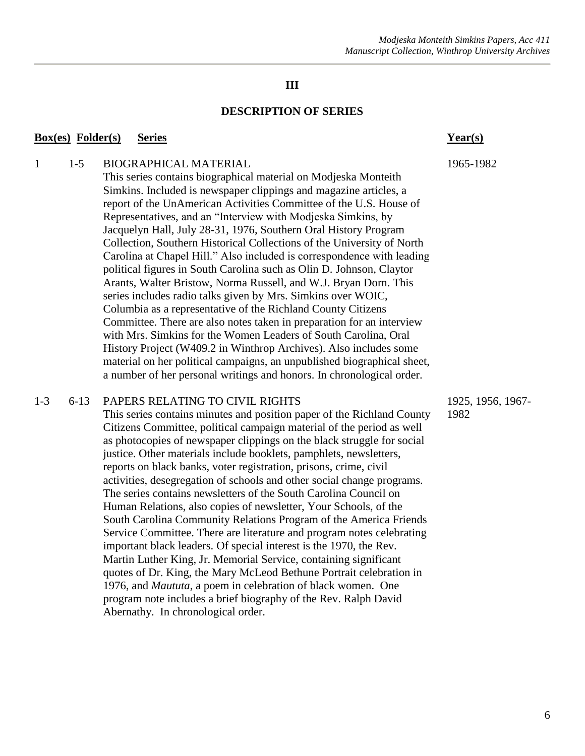## **III**

#### **DESCRIPTION OF SERIES**

#### **Box(es) Folder(s) Series Year(s)**

## 1 1-5 BIOGRAPHICAL MATERIAL 1965-1982

This series contains biographical material on Modjeska Monteith Simkins. Included is newspaper clippings and magazine articles, a report of the UnAmerican Activities Committee of the U.S. House of Representatives, and an "Interview with Modjeska Simkins, by Jacquelyn Hall, July 28-31, 1976, Southern Oral History Program Collection, Southern Historical Collections of the University of North Carolina at Chapel Hill." Also included is correspondence with leading political figures in South Carolina such as Olin D. Johnson, Claytor Arants, Walter Bristow, Norma Russell, and W.J. Bryan Dorn. This series includes radio talks given by Mrs. Simkins over WOIC, Columbia as a representative of the Richland County Citizens Committee. There are also notes taken in preparation for an interview with Mrs. Simkins for the Women Leaders of South Carolina, Oral History Project (W409.2 in Winthrop Archives). Also includes some material on her political campaigns, an unpublished biographical sheet, a number of her personal writings and honors. In chronological order.

#### 1-3 6-13 PAPERS RELATING TO CIVIL RIGHTS 1925, 1956, 1967-

This series contains minutes and position paper of the Richland County 1982 Citizens Committee, political campaign material of the period as well as photocopies of newspaper clippings on the black struggle for social justice. Other materials include booklets, pamphlets, newsletters, reports on black banks, voter registration, prisons, crime, civil activities, desegregation of schools and other social change programs. The series contains newsletters of the South Carolina Council on Human Relations, also copies of newsletter, Your Schools, of the South Carolina Community Relations Program of the America Friends Service Committee. There are literature and program notes celebrating important black leaders. Of special interest is the 1970, the Rev. Martin Luther King, Jr. Memorial Service, containing significant quotes of Dr. King, the Mary McLeod Bethune Portrait celebration in 1976, and *Maututa*, a poem in celebration of black women. One program note includes a brief biography of the Rev. Ralph David Abernathy. In chronological order.